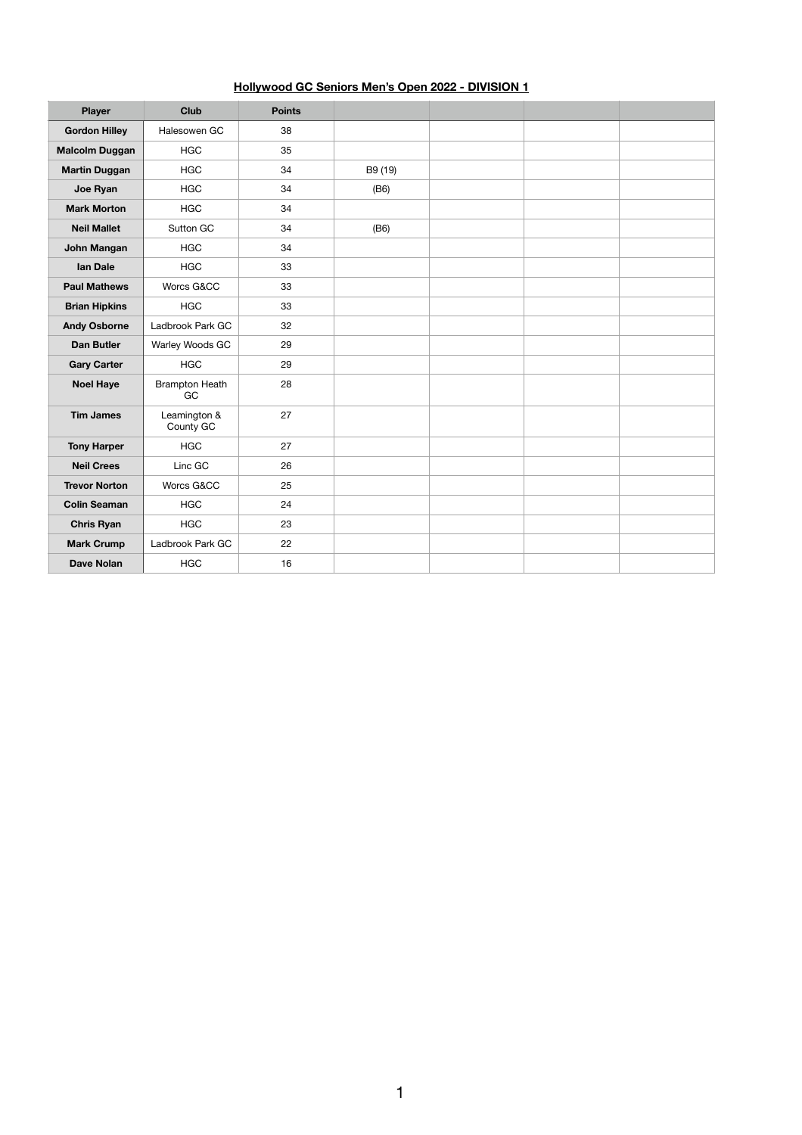## **Hollywood GC Seniors Men's Open 2022 - DIVISION 1**

| <b>Player</b>         | Club                        | <b>Points</b> |         |  |  |
|-----------------------|-----------------------------|---------------|---------|--|--|
| <b>Gordon Hilley</b>  | Halesowen GC                | 38            |         |  |  |
| <b>Malcolm Duggan</b> | <b>HGC</b>                  | 35            |         |  |  |
| <b>Martin Duggan</b>  | <b>HGC</b>                  | 34            | B9 (19) |  |  |
| Joe Ryan              | <b>HGC</b>                  | 34            | (B6)    |  |  |
| <b>Mark Morton</b>    | <b>HGC</b>                  | 34            |         |  |  |
| <b>Neil Mallet</b>    | Sutton GC                   | 34            | (B6)    |  |  |
| <b>John Mangan</b>    | <b>HGC</b>                  | 34            |         |  |  |
| <b>Ian Dale</b>       | <b>HGC</b>                  | 33            |         |  |  |
| <b>Paul Mathews</b>   | Worcs G&CC                  | 33            |         |  |  |
| <b>Brian Hipkins</b>  | <b>HGC</b>                  | 33            |         |  |  |
| <b>Andy Osborne</b>   | Ladbrook Park GC            | 32            |         |  |  |
| <b>Dan Butler</b>     | Warley Woods GC             | 29            |         |  |  |
| <b>Gary Carter</b>    | <b>HGC</b>                  | 29            |         |  |  |
| <b>Noel Haye</b>      | <b>Brampton Heath</b><br>GC | 28            |         |  |  |
| <b>Tim James</b>      | Leamington &<br>County GC   | 27            |         |  |  |
| <b>Tony Harper</b>    | <b>HGC</b>                  | 27            |         |  |  |
| <b>Neil Crees</b>     | Linc GC                     | 26            |         |  |  |
| <b>Trevor Norton</b>  | Worcs G&CC                  | 25            |         |  |  |
| <b>Colin Seaman</b>   | <b>HGC</b>                  | 24            |         |  |  |
| <b>Chris Ryan</b>     | <b>HGC</b>                  | 23            |         |  |  |
| <b>Mark Crump</b>     | Ladbrook Park GC            | 22            |         |  |  |
| <b>Dave Nolan</b>     | <b>HGC</b>                  | 16            |         |  |  |

1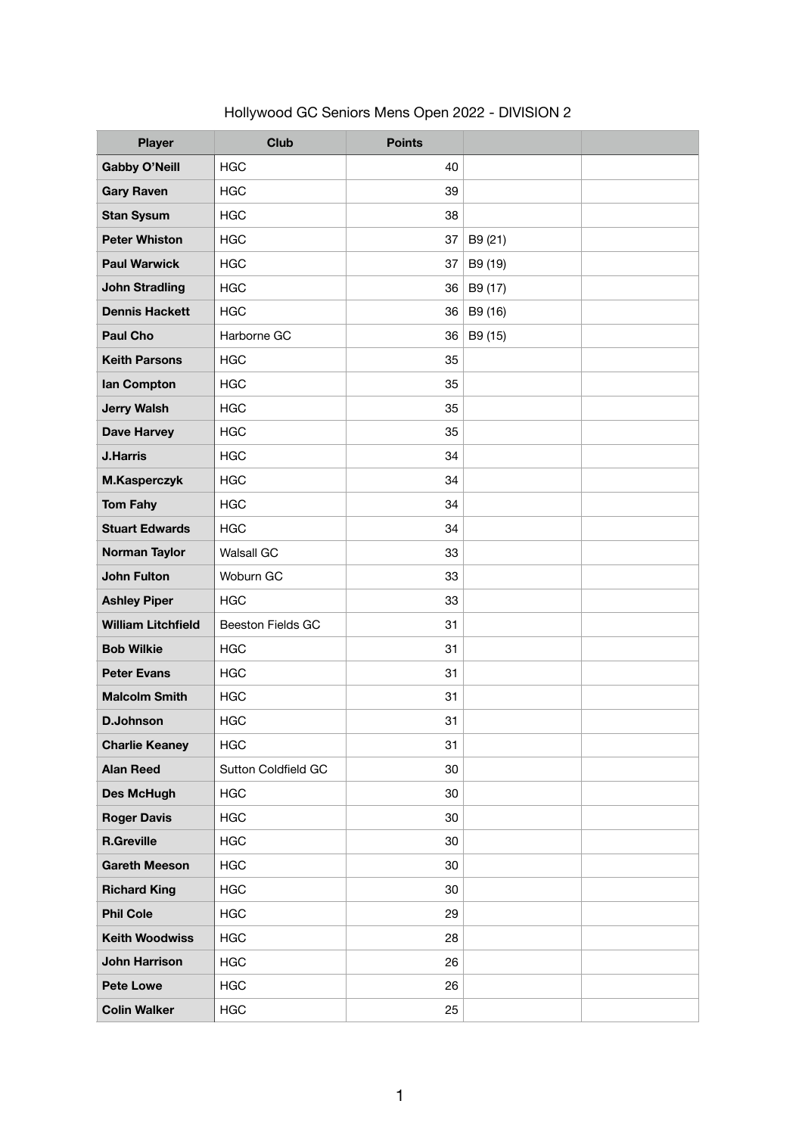| <b>Player</b>             | <b>Club</b>                | <b>Points</b> |         |  |
|---------------------------|----------------------------|---------------|---------|--|
| <b>Gabby O'Neill</b>      | <b>HGC</b>                 | 40            |         |  |
| <b>Gary Raven</b>         | <b>HGC</b>                 | 39            |         |  |
| <b>Stan Sysum</b>         | <b>HGC</b>                 | 38            |         |  |
| <b>Peter Whiston</b>      | <b>HGC</b>                 | 37            | B9 (21) |  |
| <b>Paul Warwick</b>       | <b>HGC</b>                 | 37            | B9 (19) |  |
| <b>John Stradling</b>     | <b>HGC</b>                 | 36            | B9 (17) |  |
| <b>Dennis Hackett</b>     | <b>HGC</b>                 | 36            | B9 (16) |  |
| <b>Paul Cho</b>           | Harborne GC                | 36            | B9 (15) |  |
| <b>Keith Parsons</b>      | <b>HGC</b>                 | 35            |         |  |
| lan Compton               | <b>HGC</b>                 | 35            |         |  |
| <b>Jerry Walsh</b>        | <b>HGC</b>                 | 35            |         |  |
| <b>Dave Harvey</b>        | <b>HGC</b>                 | 35            |         |  |
| <b>J.Harris</b>           | <b>HGC</b>                 | 34            |         |  |
| M.Kasperczyk              | <b>HGC</b>                 | 34            |         |  |
| <b>Tom Fahy</b>           | <b>HGC</b>                 | 34            |         |  |
| <b>Stuart Edwards</b>     | <b>HGC</b>                 | 34            |         |  |
| <b>Norman Taylor</b>      | <b>Walsall GC</b>          | 33            |         |  |
| <b>John Fulton</b>        | Woburn GC                  | 33            |         |  |
| <b>Ashley Piper</b>       | <b>HGC</b>                 | 33            |         |  |
| <b>William Litchfield</b> | Beeston Fields GC          | 31            |         |  |
| <b>Bob Wilkie</b>         | <b>HGC</b>                 | 31            |         |  |
| <b>Peter Evans</b>        | <b>HGC</b>                 | 31            |         |  |
| <b>Malcolm Smith</b>      | <b>HGC</b>                 | 31            |         |  |
| <b>D.Johnson</b>          | <b>HGC</b>                 | 31            |         |  |
| <b>Charlie Keaney</b>     | <b>HGC</b>                 | 31            |         |  |
| <b>Alan Reed</b>          | <b>Sutton Coldfield GC</b> | 30            |         |  |
| <b>Des McHugh</b>         | <b>HGC</b>                 | 30            |         |  |
| <b>Roger Davis</b>        | <b>HGC</b>                 | 30            |         |  |
| <b>R.Greville</b>         | <b>HGC</b>                 | 30            |         |  |
| <b>Gareth Meeson</b>      | <b>HGC</b>                 | 30            |         |  |
| <b>Richard King</b>       | <b>HGC</b>                 | 30            |         |  |
| <b>Phil Cole</b>          | <b>HGC</b>                 | 29            |         |  |
| <b>Keith Woodwiss</b>     | <b>HGC</b>                 | 28            |         |  |
| <b>John Harrison</b>      | <b>HGC</b>                 | 26            |         |  |
| <b>Pete Lowe</b>          | <b>HGC</b>                 | 26            |         |  |
| <b>Colin Walker</b>       | <b>HGC</b>                 | 25            |         |  |

Hollywood GC Seniors Mens Open 2022 - DIVISION 2